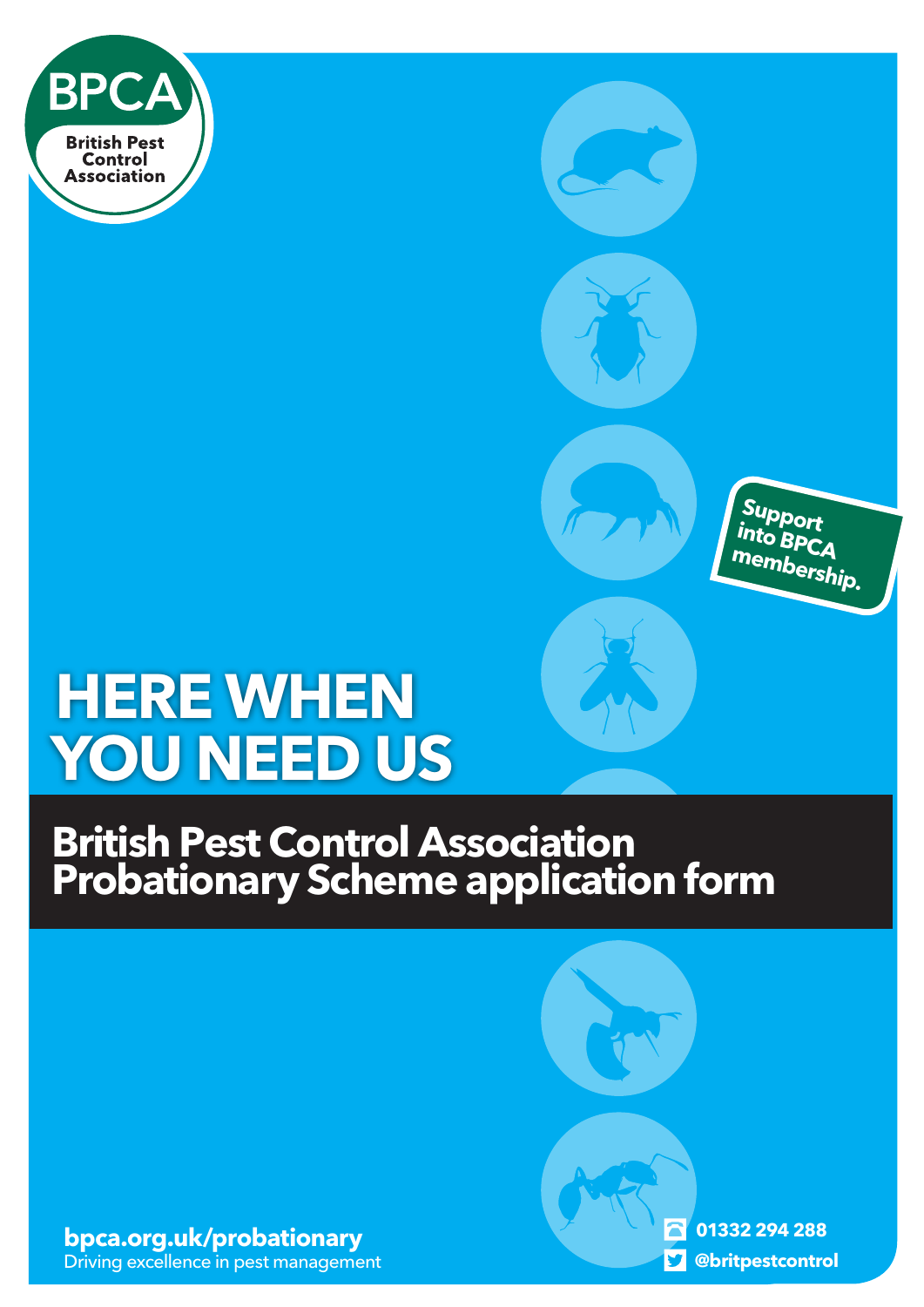

### **Support into BPCA membership.**

# **HERE WHEN YOU NEED US**

## **British Pest Control Association Probationary Scheme application form**

**[bpca.org.uk/probationary](https://bpca.org.uk/membership)** Driving excellence in pest management

**01332 294 288 [@britpestcontrol](https://twitter.com/britpestcontrol)**